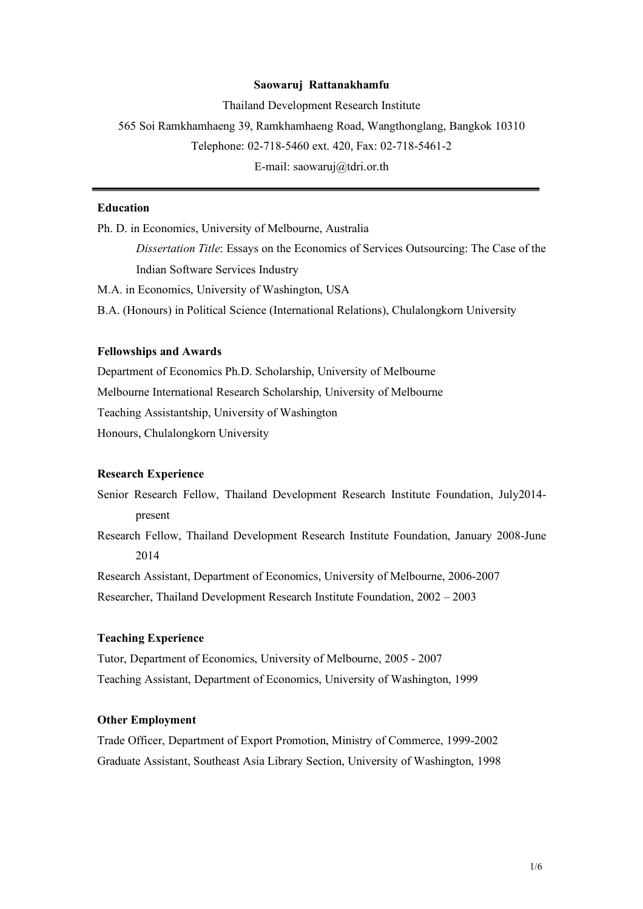#### **Saowaruj Rattanakhamfu**

Thailand Development Research Institute 565 Soi Ramkhamhaeng 39, Ramkhamhaeng Road, Wangthonglang, Bangkok 10310 Telephone: 02-718-5460 ext. 420, Fax: 02-718-5461-2 E-mail: saowaruj@tdri.or.th

# **Education**

Ph. D. in Economics, University of Melbourne, Australia *Dissertation Title*: Essays on the Economics of Services Outsourcing: The Case of the Indian Software Services Industry M.A. in Economics, University of Washington, USA

B.A. (Honours) in Political Science (International Relations), Chulalongkorn University

## **Fellowships and Awards**

Department of Economics Ph.D. Scholarship, University of Melbourne Melbourne International Research Scholarship, University of Melbourne Teaching Assistantship, University of Washington Honours, Chulalongkorn University

### **Research Experience**

Senior Research Fellow, Thailand Development Research Institute Foundation, July2014 present

Research Fellow, Thailand Development Research Institute Foundation, January 2008-June 2014

Research Assistant, Department of Economics, University of Melbourne, 2006-2007

Researcher, Thailand Development Research Institute Foundation, 2002 – 2003

# **Teaching Experience**

Tutor, Department of Economics, University of Melbourne, 2005 - 2007 Teaching Assistant, Department of Economics, University of Washington, 1999

### **Other Employment**

Trade Officer, Department of Export Promotion, Ministry of Commerce, 1999-2002 Graduate Assistant, Southeast Asia Library Section, University of Washington, 1998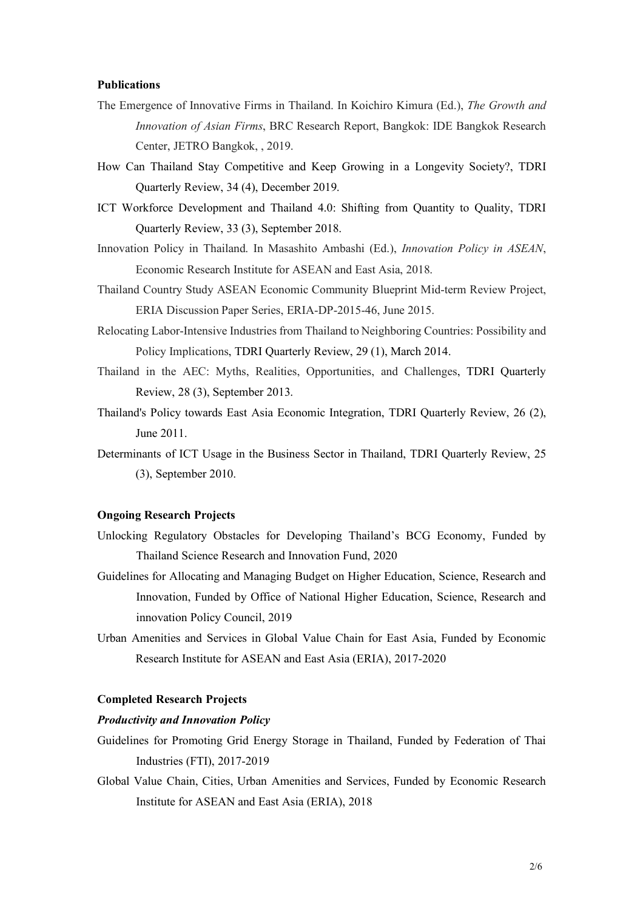### **Publications**

- The Emergence of Innovative Firms in Thailand. In Koichiro Kimura (Ed.), *The Growth and Innovation of Asian Firms*, BRC Research Report, Bangkok: IDE Bangkok Research Center, JETRO Bangkok, , 2019.
- How Can Thailand Stay Competitive and Keep Growing in a Longevity Society?, TDRI Quarterly Review, 34 (4), December 2019.
- ICT Workforce Development and Thailand 4.0: Shifting from Quantity to Quality, TDRI Quarterly Review, 33 (3), September 2018.
- Innovation Policy in Thailand. In Masashito Ambashi (Ed.), *Innovation Policy in ASEAN*, Economic Research Institute for ASEAN and East Asia, 2018.
- Thailand Country Study ASEAN Economic Community Blueprint Mid-term Review Project, ERIA Discussion Paper Series, ERIA-DP-2015-46, June 2015.
- Relocating Labor-Intensive Industries from Thailand to Neighboring Countries: Possibility and Policy Implications, TDRI Quarterly Review, 29 (1), March 2014.
- Thailand in the AEC: Myths, Realities, Opportunities, and Challenges, TDRI Quarterly Review, 28 (3), September 2013.
- Thailand's Policy towards East Asia Economic Integration, TDRI Quarterly Review, 26 (2), June 2011.
- Determinants of ICT Usage in the Business Sector in Thailand, TDRI Quarterly Review, 25 (3), September 2010.

## **Ongoing Research Projects**

- Unlocking Regulatory Obstacles for Developing Thailand's BCG Economy, Funded by Thailand Science Research and Innovation Fund, 2020
- Guidelines for Allocating and Managing Budget on Higher Education, Science, Research and Innovation, Funded by Office of National Higher Education, Science, Research and innovation Policy Council, 2019
- Urban Amenities and Services in Global Value Chain for East Asia, Funded by Economic Research Institute for ASEAN and East Asia (ERIA), 2017-2020

### **Completed Research Projects**

#### *Productivity and Innovation Policy*

- Guidelines for Promoting Grid Energy Storage in Thailand, Funded by Federation of Thai Industries (FTI), 2017-2019
- Global Value Chain, Cities, Urban Amenities and Services, Funded by Economic Research Institute for ASEAN and East Asia (ERIA), 2018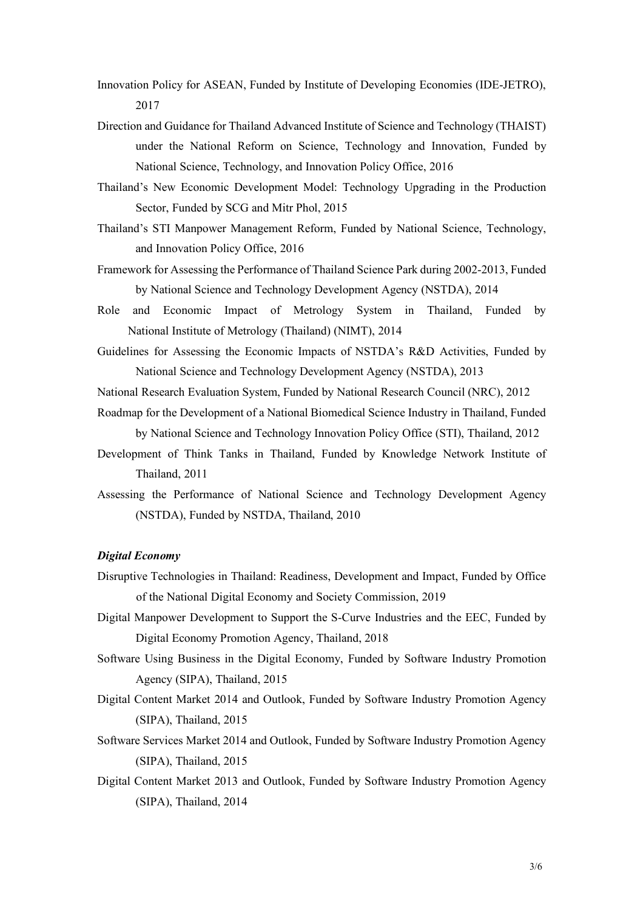- Innovation Policy for ASEAN, Funded by Institute of Developing Economies (IDE-JETRO), 2017
- Direction and Guidance for Thailand Advanced Institute of Science and Technology (THAIST) under the National Reform on Science, Technology and Innovation, Funded by National Science, Technology, and Innovation Policy Office, 2016
- Thailand's New Economic Development Model: Technology Upgrading in the Production Sector, Funded by SCG and Mitr Phol, 2015
- Thailand's STI Manpower Management Reform, Funded by National Science, Technology, and Innovation Policy Office, 2016
- Framework for Assessing the Performance of Thailand Science Park during 2002-2013, Funded by National Science and Technology Development Agency (NSTDA), 2014
- Role and Economic Impact of Metrology System in Thailand, Funded by National Institute of Metrology (Thailand) (NIMT), 2014
- Guidelines for Assessing the Economic Impacts of NSTDA's R&D Activities, Funded by National Science and Technology Development Agency (NSTDA), 2013
- National Research Evaluation System, Funded by National Research Council (NRC), 2012
- Roadmap for the Development of a National Biomedical Science Industry in Thailand, Funded by National Science and Technology Innovation Policy Office (STI), Thailand, 2012
- Development of Think Tanks in Thailand, Funded by Knowledge Network Institute of Thailand, 2011
- Assessing the Performance of National Science and Technology Development Agency (NSTDA), Funded by NSTDA, Thailand, 2010

## *Digital Economy*

- Disruptive Technologies in Thailand: Readiness, Development and Impact, Funded by Office of the National Digital Economy and Society Commission, 2019
- Digital Manpower Development to Support the S-Curve Industries and the EEC, Funded by Digital Economy Promotion Agency, Thailand, 2018
- Software Using Business in the Digital Economy, Funded by Software Industry Promotion Agency (SIPA), Thailand, 2015
- Digital Content Market 2014 and Outlook, Funded by Software Industry Promotion Agency (SIPA), Thailand, 2015
- Software Services Market 2014 and Outlook, Funded by Software Industry Promotion Agency (SIPA), Thailand, 2015
- Digital Content Market 2013 and Outlook, Funded by Software Industry Promotion Agency (SIPA), Thailand, 2014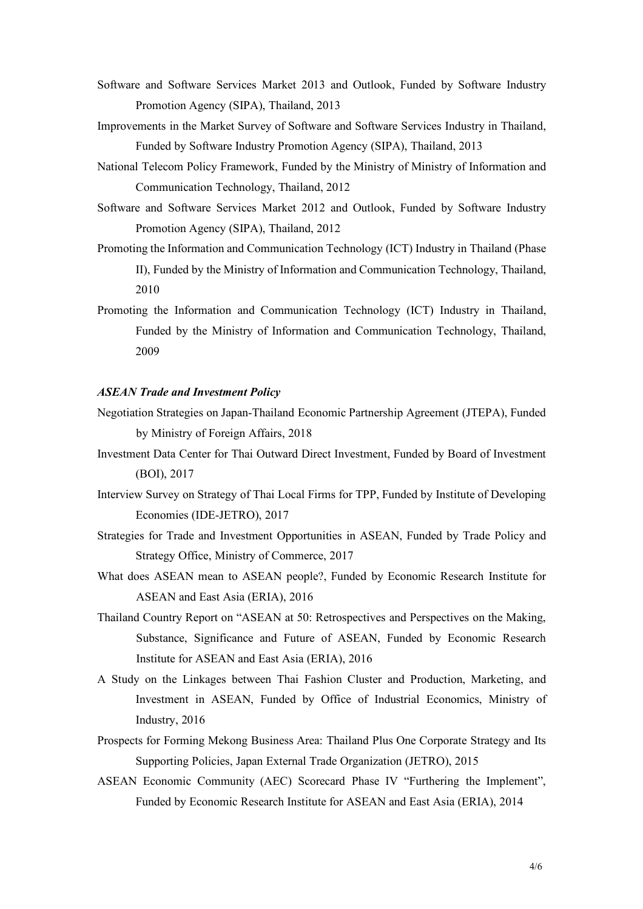- Software and Software Services Market 2013 and Outlook, Funded by Software Industry Promotion Agency (SIPA), Thailand, 2013
- Improvements in the Market Survey of Software and Software Services Industry in Thailand, Funded by Software Industry Promotion Agency (SIPA), Thailand, 2013
- National Telecom Policy Framework, Funded by the Ministry of Ministry of Information and Communication Technology, Thailand, 2012
- Software and Software Services Market 2012 and Outlook, Funded by Software Industry Promotion Agency (SIPA), Thailand, 2012
- Promoting the Information and Communication Technology (ICT) Industry in Thailand (Phase II), Funded by the Ministry of Information and Communication Technology, Thailand, 2010
- Promoting the Information and Communication Technology (ICT) Industry in Thailand, Funded by the Ministry of Information and Communication Technology, Thailand, 2009

### *ASEAN Trade and Investment Policy*

- Negotiation Strategies on Japan-Thailand Economic Partnership Agreement (JTEPA), Funded by Ministry of Foreign Affairs, 2018
- Investment Data Center for Thai Outward Direct Investment, Funded by Board of Investment (BOI), 2017
- Interview Survey on Strategy of Thai Local Firms for TPP, Funded by Institute of Developing Economies (IDE-JETRO), 2017
- Strategies for Trade and Investment Opportunities in ASEAN, Funded by Trade Policy and Strategy Office, Ministry of Commerce, 2017
- What does ASEAN mean to ASEAN people?, Funded by Economic Research Institute for ASEAN and East Asia (ERIA), 2016
- Thailand Country Report on "ASEAN at 50: Retrospectives and Perspectives on the Making, Substance, Significance and Future of ASEAN, Funded by Economic Research Institute for ASEAN and East Asia (ERIA), 2016
- A Study on the Linkages between Thai Fashion Cluster and Production, Marketing, and Investment in ASEAN, Funded by Office of Industrial Economics, Ministry of Industry, 2016
- Prospects for Forming Mekong Business Area: Thailand Plus One Corporate Strategy and Its Supporting Policies, Japan External Trade Organization (JETRO), 2015
- ASEAN Economic Community (AEC) Scorecard Phase IV "Furthering the Implement", Funded by Economic Research Institute for ASEAN and East Asia (ERIA), 2014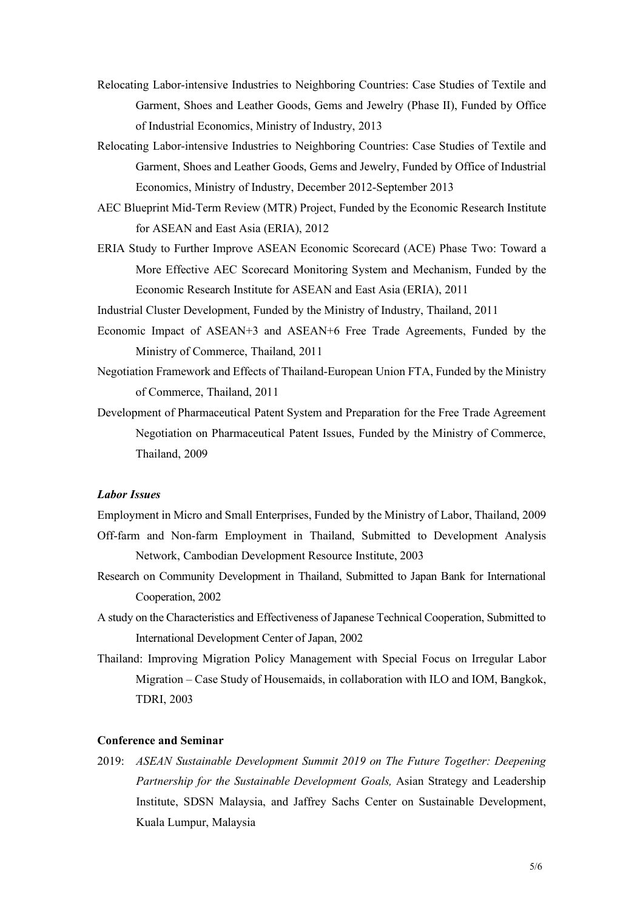- Relocating Labor-intensive Industries to Neighboring Countries: Case Studies of Textile and Garment, Shoes and Leather Goods, Gems and Jewelry (Phase II), Funded by Office of Industrial Economics, Ministry of Industry, 2013
- Relocating Labor-intensive Industries to Neighboring Countries: Case Studies of Textile and Garment, Shoes and Leather Goods, Gems and Jewelry, Funded by Office of Industrial Economics, Ministry of Industry, December 2012-September 2013
- AEC Blueprint Mid-Term Review (MTR) Project, Funded by the Economic Research Institute for ASEAN and East Asia (ERIA), 2012
- ERIA Study to Further Improve ASEAN Economic Scorecard (ACE) Phase Two: Toward a More Effective AEC Scorecard Monitoring System and Mechanism, Funded by the Economic Research Institute for ASEAN and East Asia (ERIA), 2011
- Industrial Cluster Development, Funded by the Ministry of Industry, Thailand, 2011
- Economic Impact of ASEAN+3 and ASEAN+6 Free Trade Agreements, Funded by the Ministry of Commerce, Thailand, 2011
- Negotiation Framework and Effects of Thailand-European Union FTA, Funded by the Ministry of Commerce, Thailand, 2011
- Development of Pharmaceutical Patent System and Preparation for the Free Trade Agreement Negotiation on Pharmaceutical Patent Issues, Funded by the Ministry of Commerce, Thailand, 2009

# *Labor Issues*

- Employment in Micro and Small Enterprises, Funded by the Ministry of Labor, Thailand, 2009 Off-farm and Non-farm Employment in Thailand, Submitted to Development Analysis Network, Cambodian Development Resource Institute, 2003
- Research on Community Development in Thailand, Submitted to Japan Bank for International Cooperation, 2002
- A study on the Characteristics and Effectiveness of Japanese Technical Cooperation, Submitted to International Development Center of Japan, 2002
- Thailand: Improving Migration Policy Management with Special Focus on Irregular Labor Migration – Case Study of Housemaids, in collaboration with ILO and IOM, Bangkok, TDRI, 2003

# **Conference and Seminar**

2019: *ASEAN Sustainable Development Summit 2019 on The Future Together: Deepening Partnership for the Sustainable Development Goals,* Asian Strategy and Leadership Institute, SDSN Malaysia, and Jaffrey Sachs Center on Sustainable Development, Kuala Lumpur, Malaysia